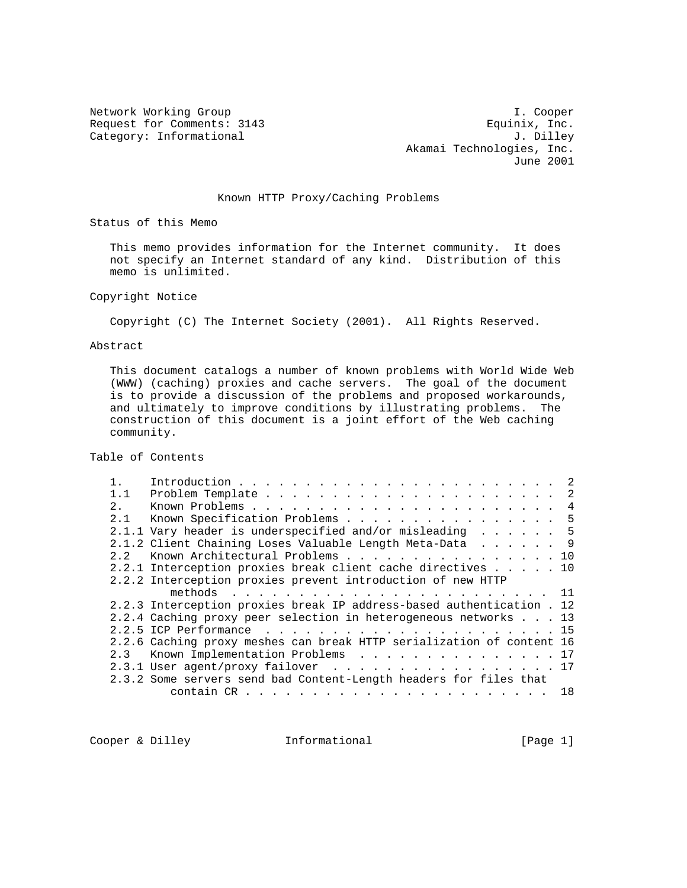Request for Comments: 3143 Equinix, Inc.<br>
Category: Informational and J. Dilley Category: Informational

Network Working Group and the set of the set of the set of the set of the set of the set of the set of the set of the set of the set of the set of the set of the set of the set of the set of the set of the set of the set o Akamai Technologies, Inc. June 2001

## Known HTTP Proxy/Caching Problems

Status of this Memo

 This memo provides information for the Internet community. It does not specify an Internet standard of any kind. Distribution of this memo is unlimited.

Copyright Notice

Copyright (C) The Internet Society (2001). All Rights Reserved.

Abstract

 This document catalogs a number of known problems with World Wide Web (WWW) (caching) proxies and cache servers. The goal of the document is to provide a discussion of the problems and proposed workarounds, and ultimately to improve conditions by illustrating problems. The construction of this document is a joint effort of the Web caching community.

Table of Contents

| 1.1         |                                                                       | -2 |
|-------------|-----------------------------------------------------------------------|----|
| $2^{\circ}$ |                                                                       |    |
| 2.1         | Known Specification Problems 5                                        |    |
|             | 2.1.1 Vary header is underspecified and/or misleading 5               |    |
|             | 2.1.2 Client Chaining Loses Valuable Length Meta-Data 9               |    |
| 22          | Known Architectural Problems 10                                       |    |
|             | 2.2.1 Interception proxies break client cache directives 10           |    |
|             | 2.2.2 Interception proxies prevent introduction of new HTTP           |    |
|             |                                                                       |    |
|             | 2.2.3 Interception proxies break IP address-based authentication . 12 |    |
|             | 2.2.4 Caching proxy peer selection in heterogeneous networks 13       |    |
|             |                                                                       |    |
|             | 2.2.6 Caching proxy meshes can break HTTP serialization of content 16 |    |
| 2.3         | Known Implementation Problems 17                                      |    |
|             | 2.3.1 User agent/proxy failover 17                                    |    |
|             | 2.3.2 Some servers send bad Content-Length headers for files that     |    |
|             |                                                                       |    |

Cooper & Dilley **Informational** [Page 1]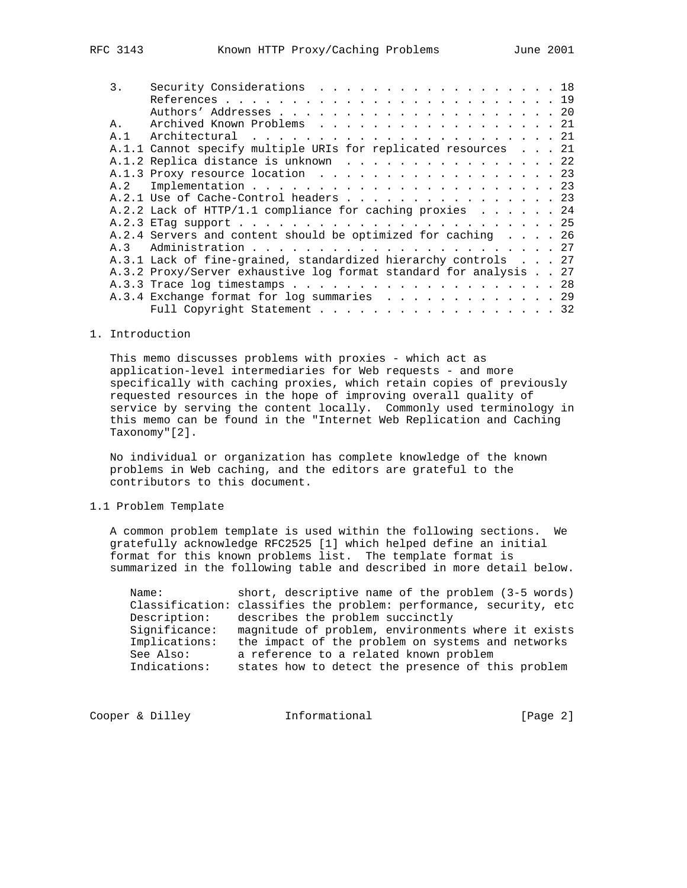| 3.  | Security Considerations 18                                        |  |  |
|-----|-------------------------------------------------------------------|--|--|
|     |                                                                   |  |  |
|     |                                                                   |  |  |
| Α.  | Archived Known Problems 21                                        |  |  |
| A.1 |                                                                   |  |  |
|     | A.1.1 Cannot specify multiple URIs for replicated resources 21    |  |  |
|     | A.1.2 Replica distance is unknown 22                              |  |  |
|     | A.1.3 Proxy resource location 23                                  |  |  |
| A.2 |                                                                   |  |  |
|     | A.2.1 Use of Cache-Control headers 23                             |  |  |
|     | A.2.2 Lack of HTTP/1.1 compliance for caching proxies 24          |  |  |
|     |                                                                   |  |  |
|     | A.2.4 Servers and content should be optimized for caching 26      |  |  |
| A.3 |                                                                   |  |  |
|     | A.3.1 Lack of fine-grained, standardized hierarchy controls 27    |  |  |
|     | A.3.2 Proxy/Server exhaustive log format standard for analysis 27 |  |  |
|     |                                                                   |  |  |
|     | A.3.4 Exchange format for log summaries 29                        |  |  |
|     | Full Copyright Statement 32                                       |  |  |

## 1. Introduction

 This memo discusses problems with proxies - which act as application-level intermediaries for Web requests - and more specifically with caching proxies, which retain copies of previously requested resources in the hope of improving overall quality of service by serving the content locally. Commonly used terminology in this memo can be found in the "Internet Web Replication and Caching Taxonomy"[2].

 No individual or organization has complete knowledge of the known problems in Web caching, and the editors are grateful to the contributors to this document.

1.1 Problem Template

 A common problem template is used within the following sections. We gratefully acknowledge RFC2525 [1] which helped define an initial format for this known problems list. The template format is summarized in the following table and described in more detail below.

| Name:         | short, descriptive name of the problem (3-5 words)                 |
|---------------|--------------------------------------------------------------------|
|               | Classification: classifies the problem: performance, security, etc |
| Description:  | describes the problem succinctly                                   |
| Significance: | magnitude of problem, environments where it exists                 |
| Implications: | the impact of the problem on systems and networks                  |
| See Also:     | a reference to a related known problem                             |
| Indications:  | states how to detect the presence of this problem                  |

Cooper & Dilley **Informational** [Page 2]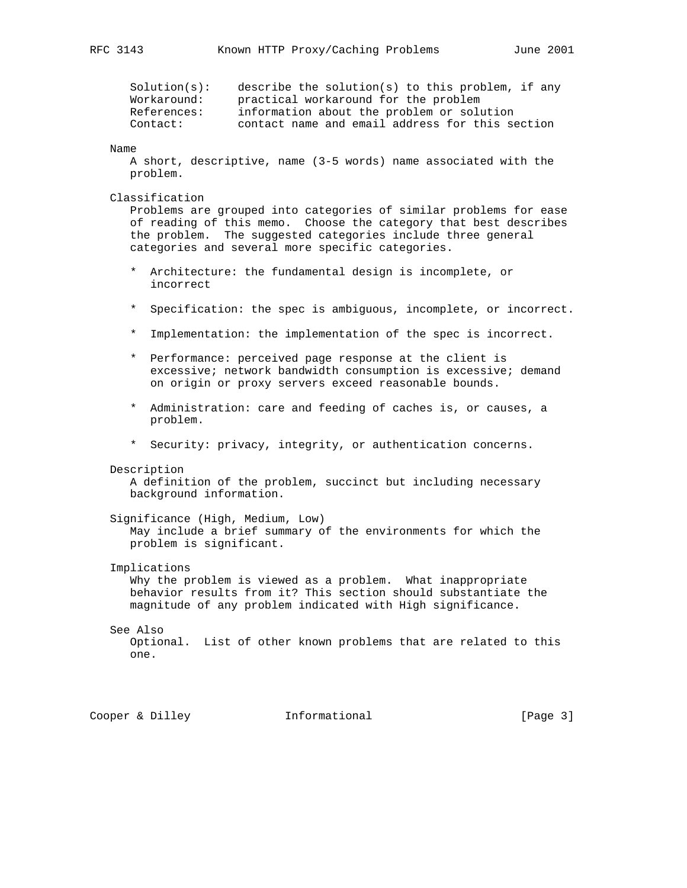| Solution(s): | describe the solution(s) to this problem, if any |
|--------------|--------------------------------------------------|
| Workaround:  | practical workaround for the problem             |
| References:  | information about the problem or solution        |
| Contact:     | contact name and email address for this section  |

## Name

 A short, descriptive, name (3-5 words) name associated with the problem.

## Classification

 Problems are grouped into categories of similar problems for ease of reading of this memo. Choose the category that best describes the problem. The suggested categories include three general categories and several more specific categories.

- \* Architecture: the fundamental design is incomplete, or incorrect
- \* Specification: the spec is ambiguous, incomplete, or incorrect.
- \* Implementation: the implementation of the spec is incorrect.
- \* Performance: perceived page response at the client is excessive; network bandwidth consumption is excessive; demand on origin or proxy servers exceed reasonable bounds.
- \* Administration: care and feeding of caches is, or causes, a problem.
- \* Security: privacy, integrity, or authentication concerns.

#### Description

 A definition of the problem, succinct but including necessary background information.

## Significance (High, Medium, Low)

 May include a brief summary of the environments for which the problem is significant.

#### Implications

 Why the problem is viewed as a problem. What inappropriate behavior results from it? This section should substantiate the magnitude of any problem indicated with High significance.

#### See Also

 Optional. List of other known problems that are related to this one.

Cooper & Dilley **Informational** [Page 3]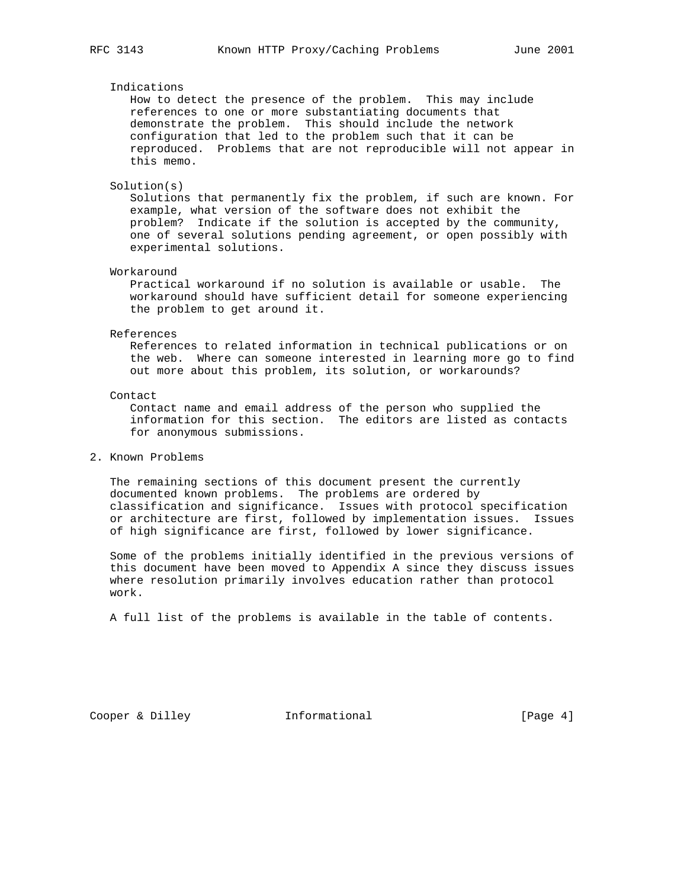## Indications

 How to detect the presence of the problem. This may include references to one or more substantiating documents that demonstrate the problem. This should include the network configuration that led to the problem such that it can be reproduced. Problems that are not reproducible will not appear in this memo.

#### Solution(s)

 Solutions that permanently fix the problem, if such are known. For example, what version of the software does not exhibit the problem? Indicate if the solution is accepted by the community, one of several solutions pending agreement, or open possibly with experimental solutions.

## Workaround

 Practical workaround if no solution is available or usable. The workaround should have sufficient detail for someone experiencing the problem to get around it.

#### References

 References to related information in technical publications or on the web. Where can someone interested in learning more go to find out more about this problem, its solution, or workarounds?

## Contact

 Contact name and email address of the person who supplied the information for this section. The editors are listed as contacts for anonymous submissions.

## 2. Known Problems

 The remaining sections of this document present the currently documented known problems. The problems are ordered by classification and significance. Issues with protocol specification or architecture are first, followed by implementation issues. Issues of high significance are first, followed by lower significance.

 Some of the problems initially identified in the previous versions of this document have been moved to Appendix A since they discuss issues where resolution primarily involves education rather than protocol work.

A full list of the problems is available in the table of contents.

Cooper & Dilley **Informational** [Page 4]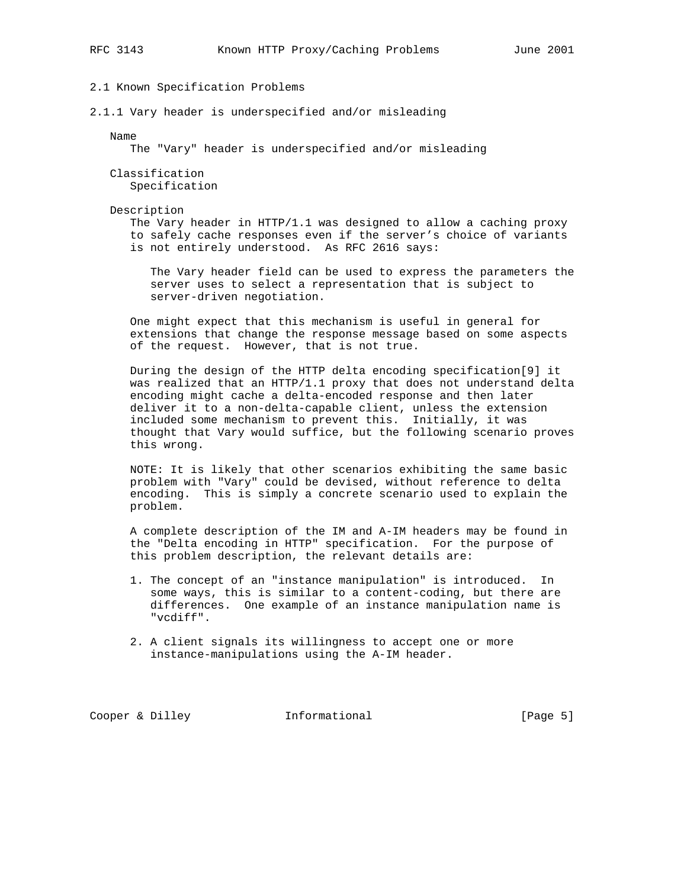## 2.1 Known Specification Problems

2.1.1 Vary header is underspecified and/or misleading

#### Name

The "Vary" header is underspecified and/or misleading

## Classification Specification

#### Description

 The Vary header in HTTP/1.1 was designed to allow a caching proxy to safely cache responses even if the server's choice of variants is not entirely understood. As RFC 2616 says:

 The Vary header field can be used to express the parameters the server uses to select a representation that is subject to server-driven negotiation.

 One might expect that this mechanism is useful in general for extensions that change the response message based on some aspects of the request. However, that is not true.

 During the design of the HTTP delta encoding specification[9] it was realized that an HTTP/1.1 proxy that does not understand delta encoding might cache a delta-encoded response and then later deliver it to a non-delta-capable client, unless the extension included some mechanism to prevent this. Initially, it was thought that Vary would suffice, but the following scenario proves this wrong.

 NOTE: It is likely that other scenarios exhibiting the same basic problem with "Vary" could be devised, without reference to delta encoding. This is simply a concrete scenario used to explain the problem.

 A complete description of the IM and A-IM headers may be found in the "Delta encoding in HTTP" specification. For the purpose of this problem description, the relevant details are:

- 1. The concept of an "instance manipulation" is introduced. In some ways, this is similar to a content-coding, but there are differences. One example of an instance manipulation name is "vcdiff".
- 2. A client signals its willingness to accept one or more instance-manipulations using the A-IM header.

Cooper & Dilley **Informational** [Page 5]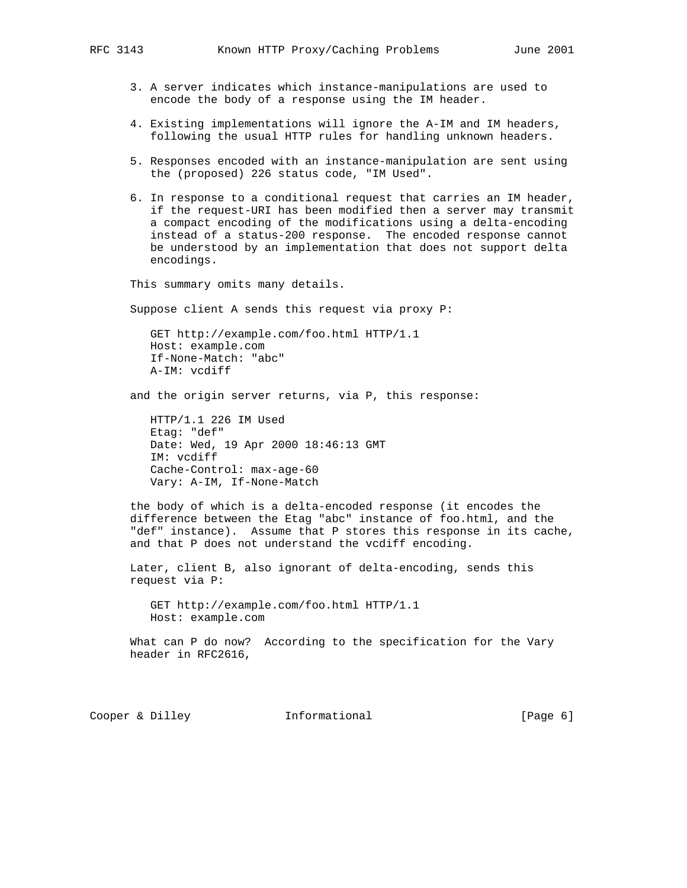- 3. A server indicates which instance-manipulations are used to encode the body of a response using the IM header.
- 4. Existing implementations will ignore the A-IM and IM headers, following the usual HTTP rules for handling unknown headers.
- 5. Responses encoded with an instance-manipulation are sent using the (proposed) 226 status code, "IM Used".
- 6. In response to a conditional request that carries an IM header, if the request-URI has been modified then a server may transmit a compact encoding of the modifications using a delta-encoding instead of a status-200 response. The encoded response cannot be understood by an implementation that does not support delta encodings.

This summary omits many details.

Suppose client A sends this request via proxy P:

 GET http://example.com/foo.html HTTP/1.1 Host: example.com If-None-Match: "abc" A-IM: vcdiff

and the origin server returns, via P, this response:

 HTTP/1.1 226 IM Used Etag: "def" Date: Wed, 19 Apr 2000 18:46:13 GMT IM: vcdiff Cache-Control: max-age-60 Vary: A-IM, If-None-Match

 the body of which is a delta-encoded response (it encodes the difference between the Etag "abc" instance of foo.html, and the "def" instance). Assume that P stores this response in its cache, and that P does not understand the vcdiff encoding.

 Later, client B, also ignorant of delta-encoding, sends this request via P:

 GET http://example.com/foo.html HTTP/1.1 Host: example.com

What can P do now? According to the specification for the Vary header in RFC2616,

Cooper & Dilley **Informational** [Page 6]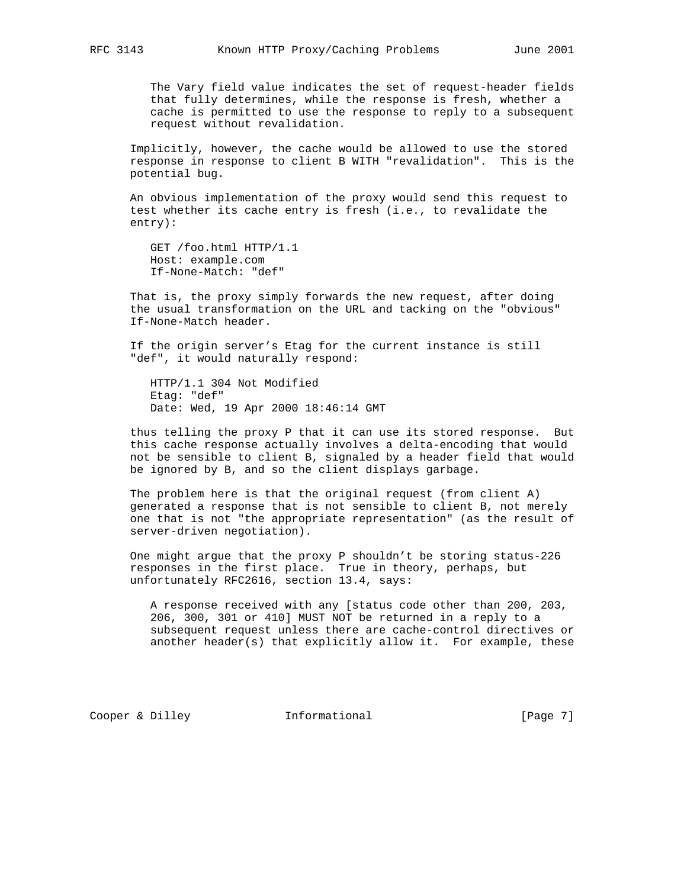The Vary field value indicates the set of request-header fields that fully determines, while the response is fresh, whether a cache is permitted to use the response to reply to a subsequent request without revalidation.

 Implicitly, however, the cache would be allowed to use the stored response in response to client B WITH "revalidation". This is the potential bug.

 An obvious implementation of the proxy would send this request to test whether its cache entry is fresh (i.e., to revalidate the entry):

 GET /foo.html HTTP/1.1 Host: example.com If-None-Match: "def"

 That is, the proxy simply forwards the new request, after doing the usual transformation on the URL and tacking on the "obvious" If-None-Match header.

 If the origin server's Etag for the current instance is still "def", it would naturally respond:

 HTTP/1.1 304 Not Modified Etag: "def" Date: Wed, 19 Apr 2000 18:46:14 GMT

 thus telling the proxy P that it can use its stored response. But this cache response actually involves a delta-encoding that would not be sensible to client B, signaled by a header field that would be ignored by B, and so the client displays garbage.

 The problem here is that the original request (from client A) generated a response that is not sensible to client B, not merely one that is not "the appropriate representation" (as the result of server-driven negotiation).

 One might argue that the proxy P shouldn't be storing status-226 responses in the first place. True in theory, perhaps, but unfortunately RFC2616, section 13.4, says:

 A response received with any [status code other than 200, 203, 206, 300, 301 or 410] MUST NOT be returned in a reply to a subsequent request unless there are cache-control directives or another header(s) that explicitly allow it. For example, these

Cooper & Dilley **Informational** [Page 7]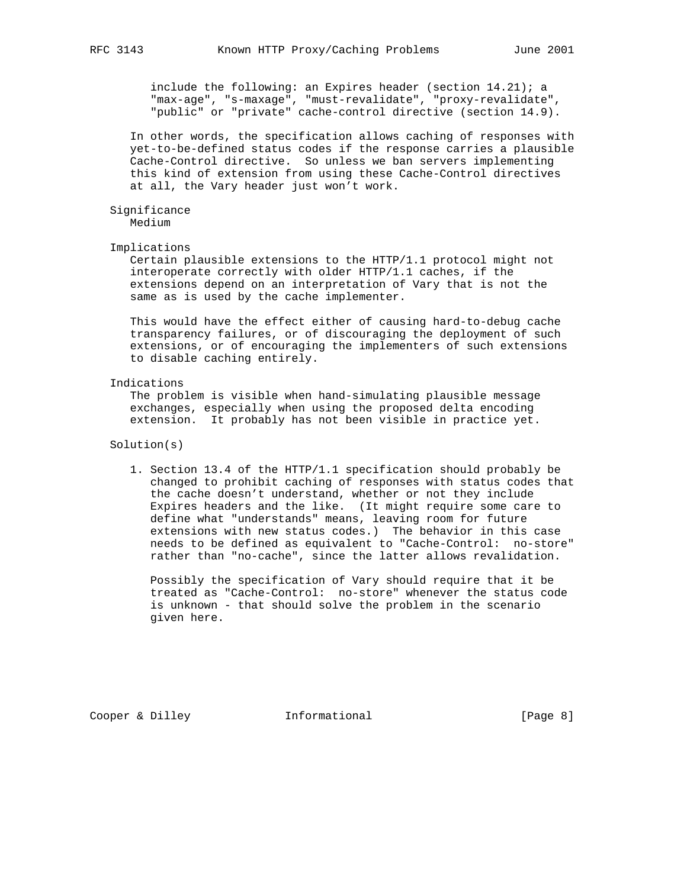include the following: an Expires header (section 14.21); a "max-age", "s-maxage", "must-revalidate", "proxy-revalidate", "public" or "private" cache-control directive (section 14.9).

 In other words, the specification allows caching of responses with yet-to-be-defined status codes if the response carries a plausible Cache-Control directive. So unless we ban servers implementing this kind of extension from using these Cache-Control directives at all, the Vary header just won't work.

## Significance

Medium

#### Implications

 Certain plausible extensions to the HTTP/1.1 protocol might not interoperate correctly with older HTTP/1.1 caches, if the extensions depend on an interpretation of Vary that is not the same as is used by the cache implementer.

 This would have the effect either of causing hard-to-debug cache transparency failures, or of discouraging the deployment of such extensions, or of encouraging the implementers of such extensions to disable caching entirely.

## Indications

 The problem is visible when hand-simulating plausible message exchanges, especially when using the proposed delta encoding extension. It probably has not been visible in practice yet.

## Solution(s)

 1. Section 13.4 of the HTTP/1.1 specification should probably be changed to prohibit caching of responses with status codes that the cache doesn't understand, whether or not they include Expires headers and the like. (It might require some care to define what "understands" means, leaving room for future extensions with new status codes.) The behavior in this case needs to be defined as equivalent to "Cache-Control: no-store" rather than "no-cache", since the latter allows revalidation.

 Possibly the specification of Vary should require that it be treated as "Cache-Control: no-store" whenever the status code is unknown - that should solve the problem in the scenario given here.

Cooper & Dilley **Informational** [Page 8]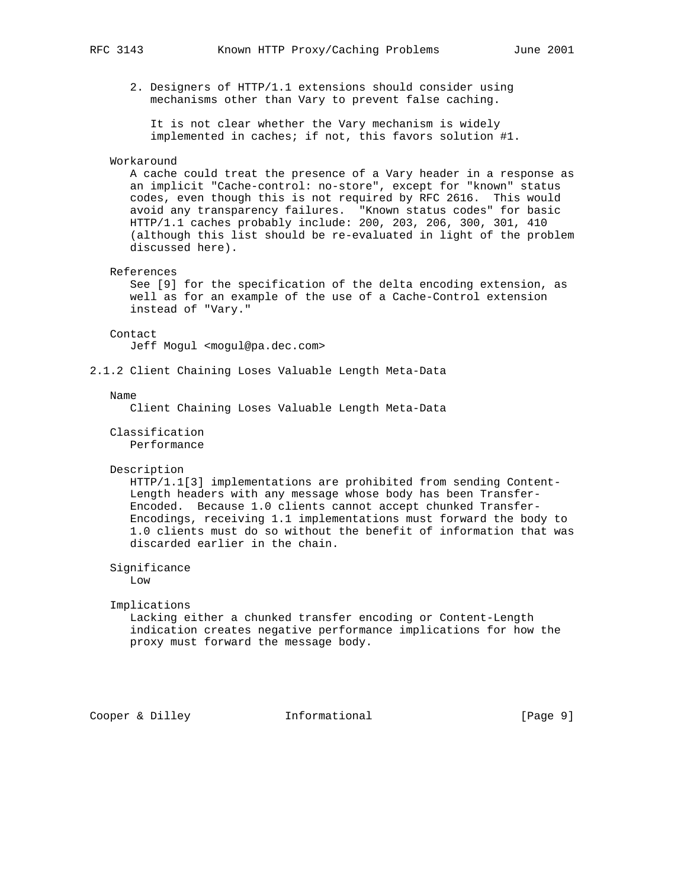2. Designers of HTTP/1.1 extensions should consider using mechanisms other than Vary to prevent false caching.

 It is not clear whether the Vary mechanism is widely implemented in caches; if not, this favors solution #1.

#### Workaround

 A cache could treat the presence of a Vary header in a response as an implicit "Cache-control: no-store", except for "known" status codes, even though this is not required by RFC 2616. This would avoid any transparency failures. "Known status codes" for basic HTTP/1.1 caches probably include: 200, 203, 206, 300, 301, 410 (although this list should be re-evaluated in light of the problem discussed here).

## References

 See [9] for the specification of the delta encoding extension, as well as for an example of the use of a Cache-Control extension instead of "Vary."

#### Contact

Jeff Mogul <mogul@pa.dec.com>

2.1.2 Client Chaining Loses Valuable Length Meta-Data

#### Name

Client Chaining Loses Valuable Length Meta-Data

#### Classification Performance

#### Description

 HTTP/1.1[3] implementations are prohibited from sending Content- Length headers with any message whose body has been Transfer- Encoded. Because 1.0 clients cannot accept chunked Transfer- Encodings, receiving 1.1 implementations must forward the body to 1.0 clients must do so without the benefit of information that was discarded earlier in the chain.

Significance

Low

## Implications

 Lacking either a chunked transfer encoding or Content-Length indication creates negative performance implications for how the proxy must forward the message body.

```
Cooper & Dilley Informational [Page 9]
```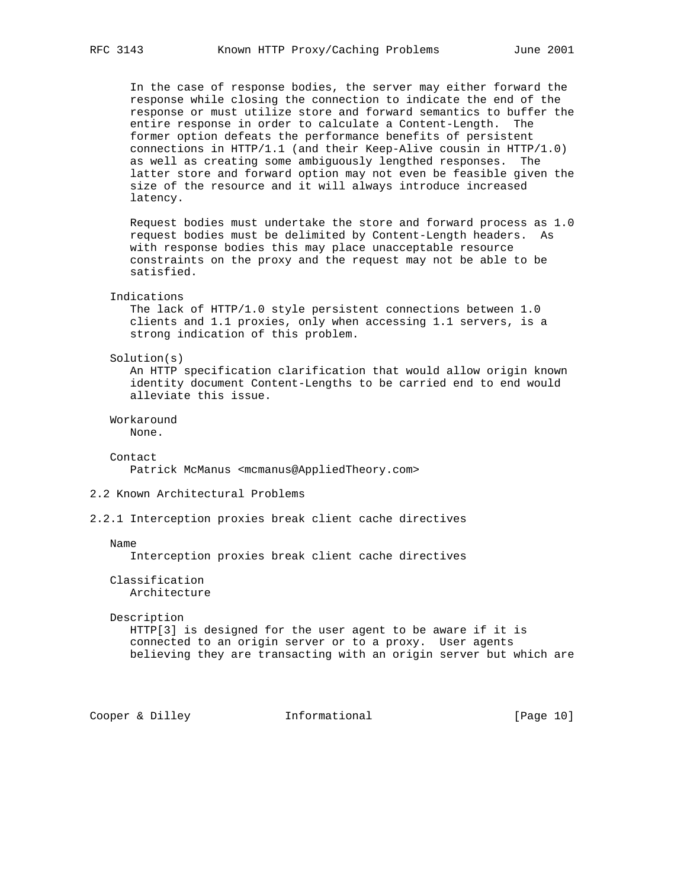In the case of response bodies, the server may either forward the response while closing the connection to indicate the end of the response or must utilize store and forward semantics to buffer the entire response in order to calculate a Content-Length. The former option defeats the performance benefits of persistent connections in HTTP/1.1 (and their Keep-Alive cousin in HTTP/1.0) as well as creating some ambiguously lengthed responses. The latter store and forward option may not even be feasible given the size of the resource and it will always introduce increased latency.

 Request bodies must undertake the store and forward process as 1.0 request bodies must be delimited by Content-Length headers. As with response bodies this may place unacceptable resource constraints on the proxy and the request may not be able to be satisfied.

### Indications

 The lack of HTTP/1.0 style persistent connections between 1.0 clients and 1.1 proxies, only when accessing 1.1 servers, is a strong indication of this problem.

#### Solution(s)

 An HTTP specification clarification that would allow origin known identity document Content-Lengths to be carried end to end would alleviate this issue.

Workaround

None.

Contact

Patrick McManus <mcmanus@AppliedTheory.com>

## 2.2 Known Architectural Problems

2.2.1 Interception proxies break client cache directives

Name

Interception proxies break client cache directives

 Classification Architecture

#### Description

 HTTP[3] is designed for the user agent to be aware if it is connected to an origin server or to a proxy. User agents believing they are transacting with an origin server but which are

Cooper & Dilley **Informational** [Page 10]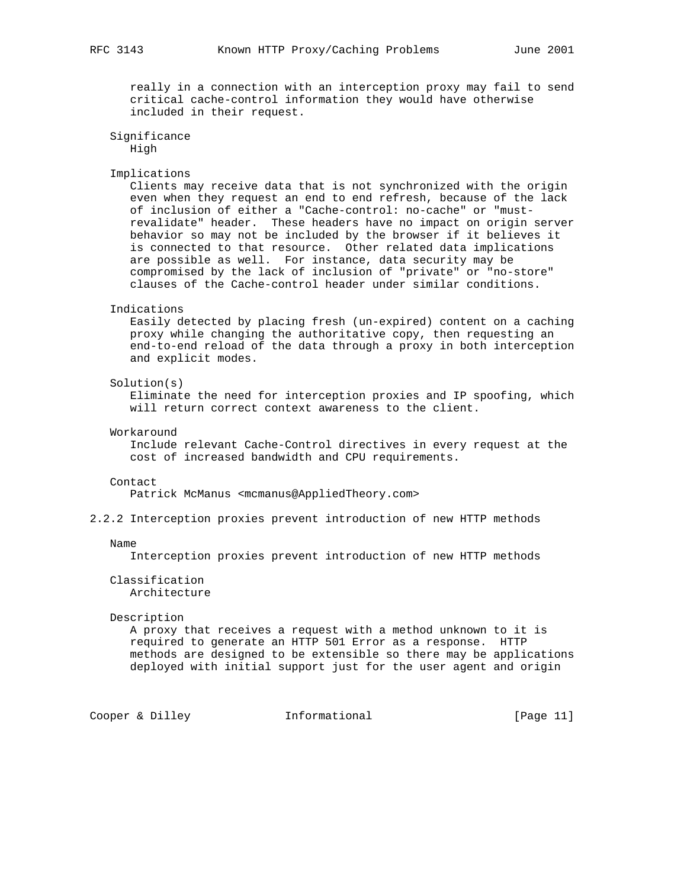really in a connection with an interception proxy may fail to send critical cache-control information they would have otherwise included in their request.

```
 Significance
    High
```
#### Implications

 Clients may receive data that is not synchronized with the origin even when they request an end to end refresh, because of the lack of inclusion of either a "Cache-control: no-cache" or "must revalidate" header. These headers have no impact on origin server behavior so may not be included by the browser if it believes it is connected to that resource. Other related data implications are possible as well. For instance, data security may be compromised by the lack of inclusion of "private" or "no-store" clauses of the Cache-control header under similar conditions.

#### Indications

 Easily detected by placing fresh (un-expired) content on a caching proxy while changing the authoritative copy, then requesting an end-to-end reload of the data through a proxy in both interception and explicit modes.

#### Solution(s)

 Eliminate the need for interception proxies and IP spoofing, which will return correct context awareness to the client.

#### Workaround

 Include relevant Cache-Control directives in every request at the cost of increased bandwidth and CPU requirements.

#### Contact

Patrick McManus <mcmanus@AppliedTheory.com>

2.2.2 Interception proxies prevent introduction of new HTTP methods

#### Name

Interception proxies prevent introduction of new HTTP methods

## Classification Architecture

#### Description

 A proxy that receives a request with a method unknown to it is required to generate an HTTP 501 Error as a response. HTTP methods are designed to be extensible so there may be applications deployed with initial support just for the user agent and origin

Cooper & Dilley **Informational** [Page 11]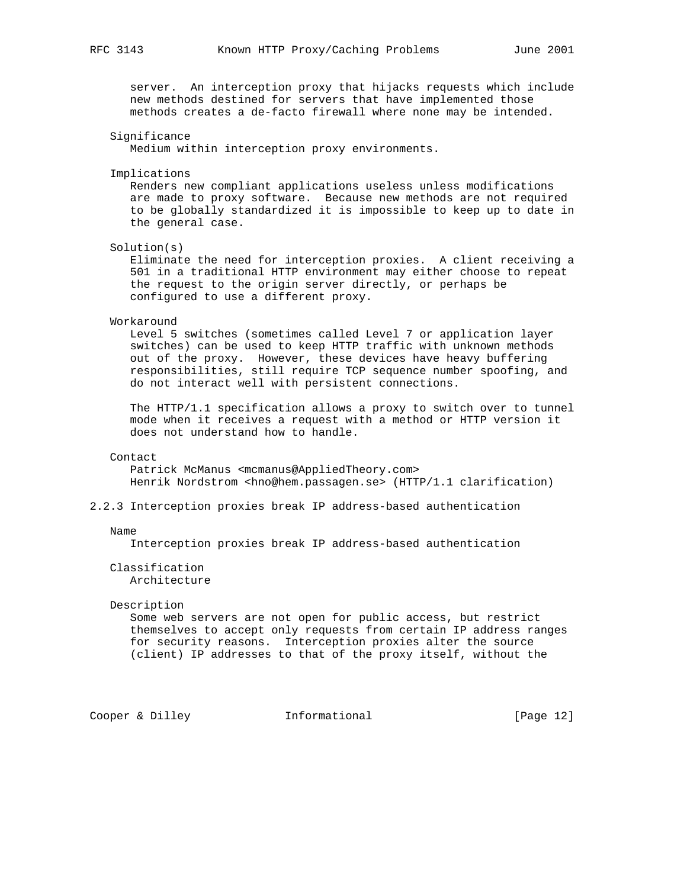server. An interception proxy that hijacks requests which include new methods destined for servers that have implemented those methods creates a de-facto firewall where none may be intended.

## Significance

Medium within interception proxy environments.

Implications

 Renders new compliant applications useless unless modifications are made to proxy software. Because new methods are not required to be globally standardized it is impossible to keep up to date in the general case.

Solution(s)

 Eliminate the need for interception proxies. A client receiving a 501 in a traditional HTTP environment may either choose to repeat the request to the origin server directly, or perhaps be configured to use a different proxy.

#### Workaround

 Level 5 switches (sometimes called Level 7 or application layer switches) can be used to keep HTTP traffic with unknown methods out of the proxy. However, these devices have heavy buffering responsibilities, still require TCP sequence number spoofing, and do not interact well with persistent connections.

 The HTTP/1.1 specification allows a proxy to switch over to tunnel mode when it receives a request with a method or HTTP version it does not understand how to handle.

#### Contact

 Patrick McManus <mcmanus@AppliedTheory.com> Henrik Nordstrom <hno@hem.passagen.se> (HTTP/1.1 clarification)

## 2.2.3 Interception proxies break IP address-based authentication

#### Name

Interception proxies break IP address-based authentication

 Classification Architecture

#### Description

 Some web servers are not open for public access, but restrict themselves to accept only requests from certain IP address ranges for security reasons. Interception proxies alter the source (client) IP addresses to that of the proxy itself, without the

Cooper & Dilley **Informational** [Page 12]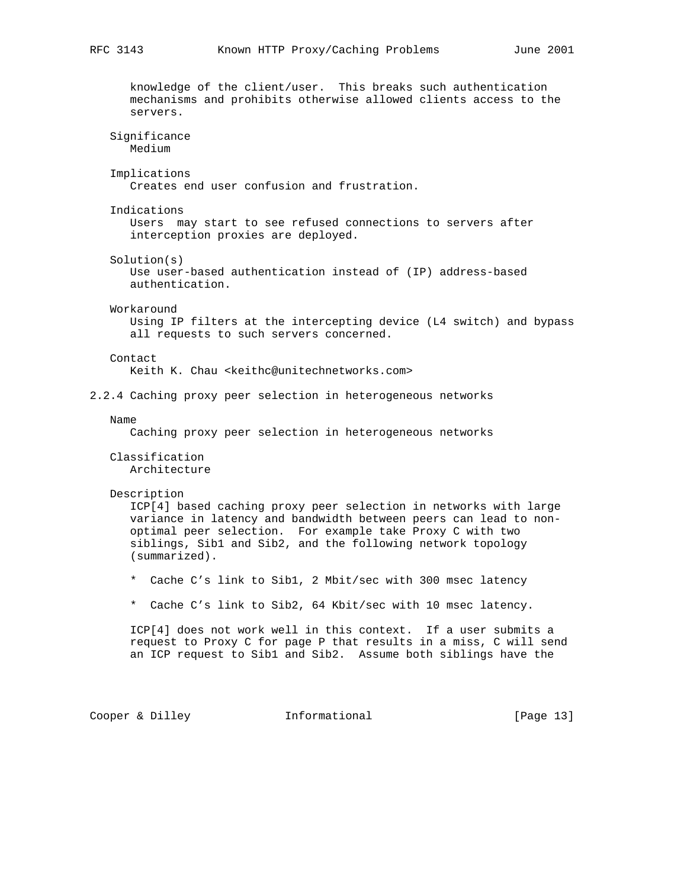knowledge of the client/user. This breaks such authentication mechanisms and prohibits otherwise allowed clients access to the servers. Significance Medium Implications Creates end user confusion and frustration. Indications Users may start to see refused connections to servers after interception proxies are deployed. Solution(s) Use user-based authentication instead of (IP) address-based authentication. Workaround Using IP filters at the intercepting device (L4 switch) and bypass all requests to such servers concerned. Contact Keith K. Chau <keithc@unitechnetworks.com> 2.2.4 Caching proxy peer selection in heterogeneous networks Name Caching proxy peer selection in heterogeneous networks Classification Architecture Description ICP[4] based caching proxy peer selection in networks with large variance in latency and bandwidth between peers can lead to non optimal peer selection. For example take Proxy C with two siblings, Sib1 and Sib2, and the following network topology (summarized). \* Cache C's link to Sib1, 2 Mbit/sec with 300 msec latency \* Cache C's link to Sib2, 64 Kbit/sec with 10 msec latency. ICP[4] does not work well in this context. If a user submits a request to Proxy C for page P that results in a miss, C will send an ICP request to Sib1 and Sib2. Assume both siblings have the

Cooper & Dilley **Informational** [Page 13]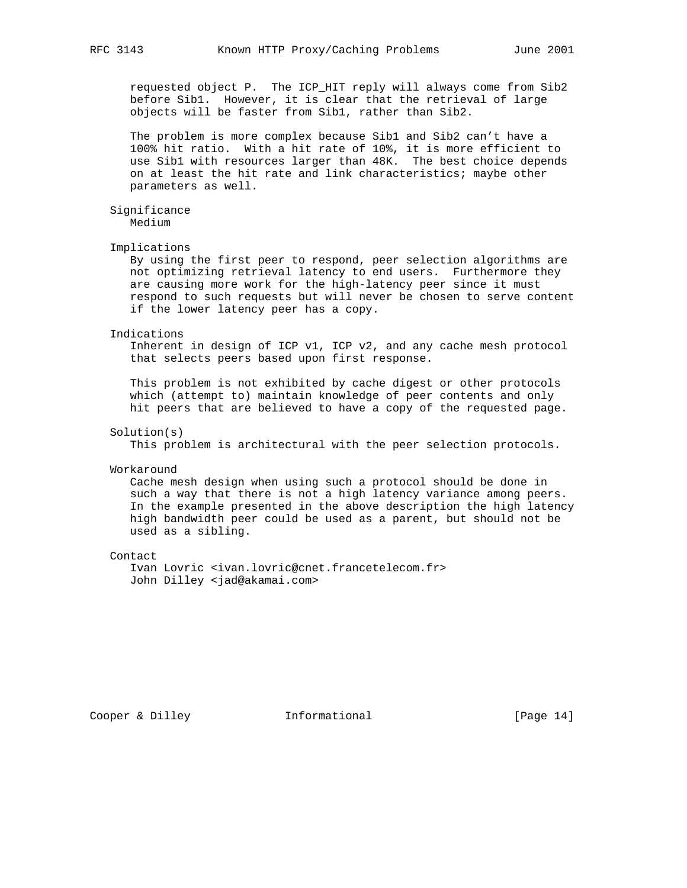requested object P. The ICP\_HIT reply will always come from Sib2 before Sib1. However, it is clear that the retrieval of large objects will be faster from Sib1, rather than Sib2.

 The problem is more complex because Sib1 and Sib2 can't have a 100% hit ratio. With a hit rate of 10%, it is more efficient to use Sib1 with resources larger than 48K. The best choice depends on at least the hit rate and link characteristics; maybe other parameters as well.

## Significance

Medium

#### Implications

 By using the first peer to respond, peer selection algorithms are not optimizing retrieval latency to end users. Furthermore they are causing more work for the high-latency peer since it must respond to such requests but will never be chosen to serve content if the lower latency peer has a copy.

#### Indications

 Inherent in design of ICP v1, ICP v2, and any cache mesh protocol that selects peers based upon first response.

 This problem is not exhibited by cache digest or other protocols which (attempt to) maintain knowledge of peer contents and only hit peers that are believed to have a copy of the requested page.

#### Solution(s)

This problem is architectural with the peer selection protocols.

#### Workaround

 Cache mesh design when using such a protocol should be done in such a way that there is not a high latency variance among peers. In the example presented in the above description the high latency high bandwidth peer could be used as a parent, but should not be used as a sibling.

#### Contact

 Ivan Lovric <ivan.lovric@cnet.francetelecom.fr> John Dilley <jad@akamai.com>

Cooper & Dilley **Informational** [Page 14]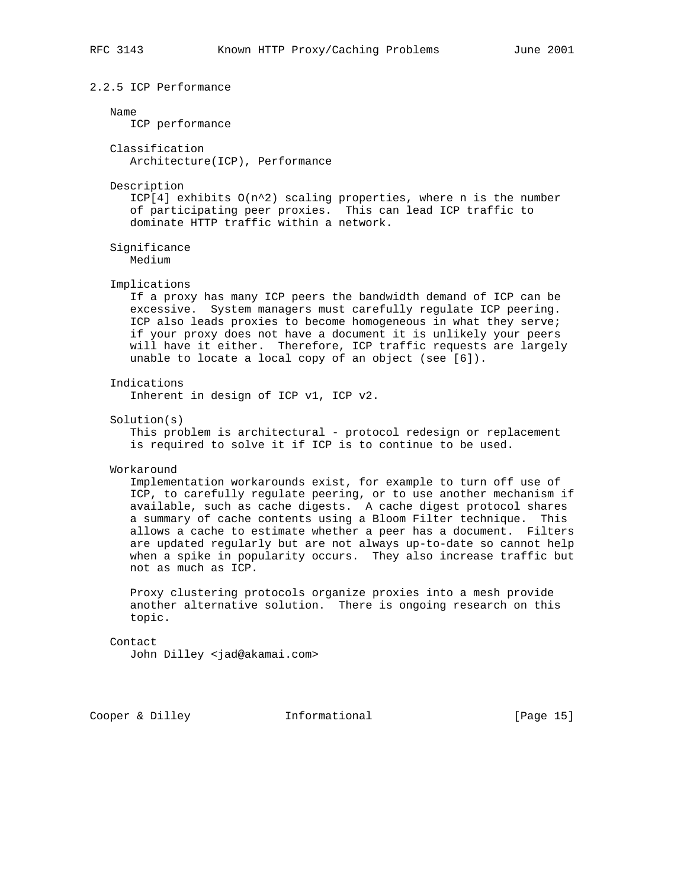## 2.2.5 ICP Performance

#### Name

ICP performance

 Classification Architecture(ICP), Performance

#### Description

 $ICP[4]$  exhibits  $O(n^2)$  scaling properties, where n is the number of participating peer proxies. This can lead ICP traffic to dominate HTTP traffic within a network.

 Significance Medium

## Implications

 If a proxy has many ICP peers the bandwidth demand of ICP can be excessive. System managers must carefully regulate ICP peering. ICP also leads proxies to become homogeneous in what they serve; if your proxy does not have a document it is unlikely your peers will have it either. Therefore, ICP traffic requests are largely unable to locate a local copy of an object (see [6]).

## Indications

Inherent in design of ICP v1, ICP v2.

Solution(s)

 This problem is architectural - protocol redesign or replacement is required to solve it if ICP is to continue to be used.

#### Workaround

 Implementation workarounds exist, for example to turn off use of ICP, to carefully regulate peering, or to use another mechanism if available, such as cache digests. A cache digest protocol shares a summary of cache contents using a Bloom Filter technique. This allows a cache to estimate whether a peer has a document. Filters are updated regularly but are not always up-to-date so cannot help when a spike in popularity occurs. They also increase traffic but not as much as ICP.

 Proxy clustering protocols organize proxies into a mesh provide another alternative solution. There is ongoing research on this topic.

## Contact

John Dilley <jad@akamai.com>

Cooper & Dilley **Informational** [Page 15]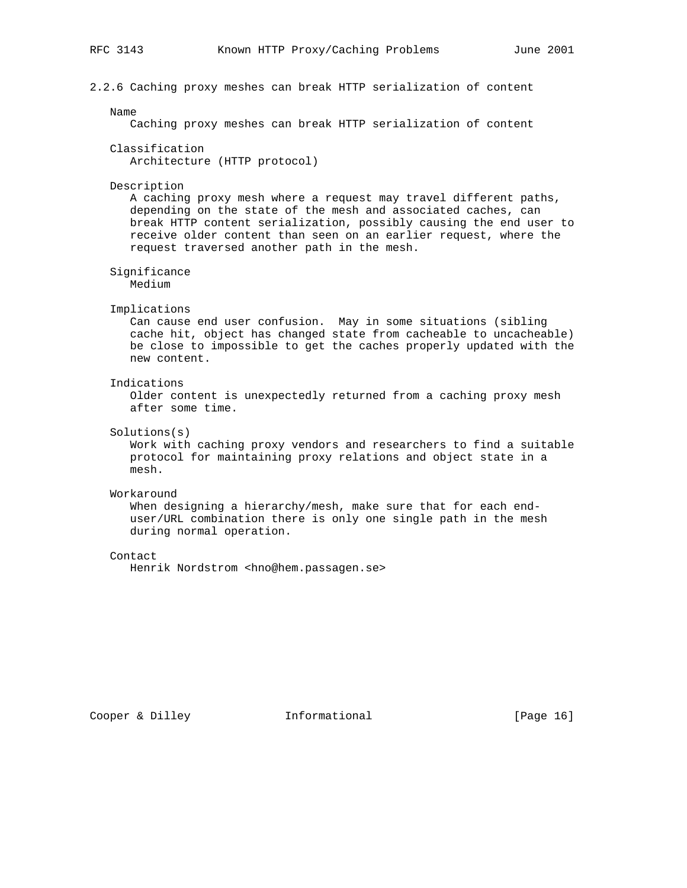2.2.6 Caching proxy meshes can break HTTP serialization of content

#### Name

Caching proxy meshes can break HTTP serialization of content

 Classification Architecture (HTTP protocol)

#### Description

 A caching proxy mesh where a request may travel different paths, depending on the state of the mesh and associated caches, can break HTTP content serialization, possibly causing the end user to receive older content than seen on an earlier request, where the request traversed another path in the mesh.

Significance

Medium

#### Implications

 Can cause end user confusion. May in some situations (sibling cache hit, object has changed state from cacheable to uncacheable) be close to impossible to get the caches properly updated with the new content.

#### Indications

 Older content is unexpectedly returned from a caching proxy mesh after some time.

## Solutions(s)

 Work with caching proxy vendors and researchers to find a suitable protocol for maintaining proxy relations and object state in a mesh.

## Workaround

 When designing a hierarchy/mesh, make sure that for each end user/URL combination there is only one single path in the mesh during normal operation.

## Contact

Henrik Nordstrom <hno@hem.passagen.se>

Cooper & Dilley **Informational** [Page 16]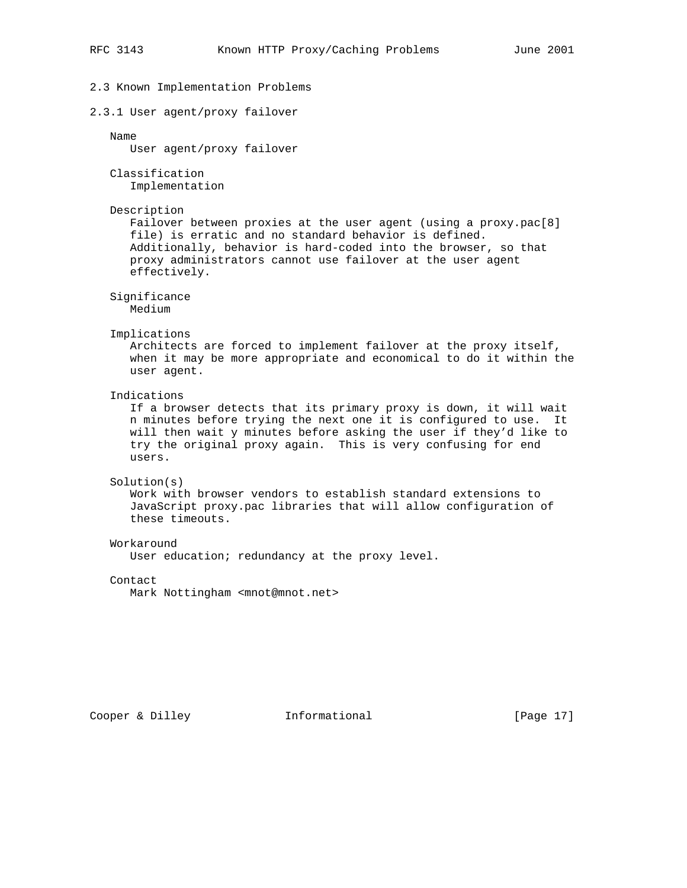# 2.3 Known Implementation Problems 2.3.1 User agent/proxy failover Name User agent/proxy failover Classification Implementation Description Failover between proxies at the user agent (using a proxy.pac[8] file) is erratic and no standard behavior is defined. Additionally, behavior is hard-coded into the browser, so that proxy administrators cannot use failover at the user agent effectively. Significance Medium Implications Architects are forced to implement failover at the proxy itself, when it may be more appropriate and economical to do it within the user agent. Indications If a browser detects that its primary proxy is down, it will wait n minutes before trying the next one it is configured to use. It will then wait y minutes before asking the user if they'd like to try the original proxy again. This is very confusing for end users. Solution(s) Work with browser vendors to establish standard extensions to JavaScript proxy.pac libraries that will allow configuration of these timeouts. Workaround User education; redundancy at the proxy level. Contact

Mark Nottingham <mnot@mnot.net>

Cooper & Dilley **Informational** [Page 17]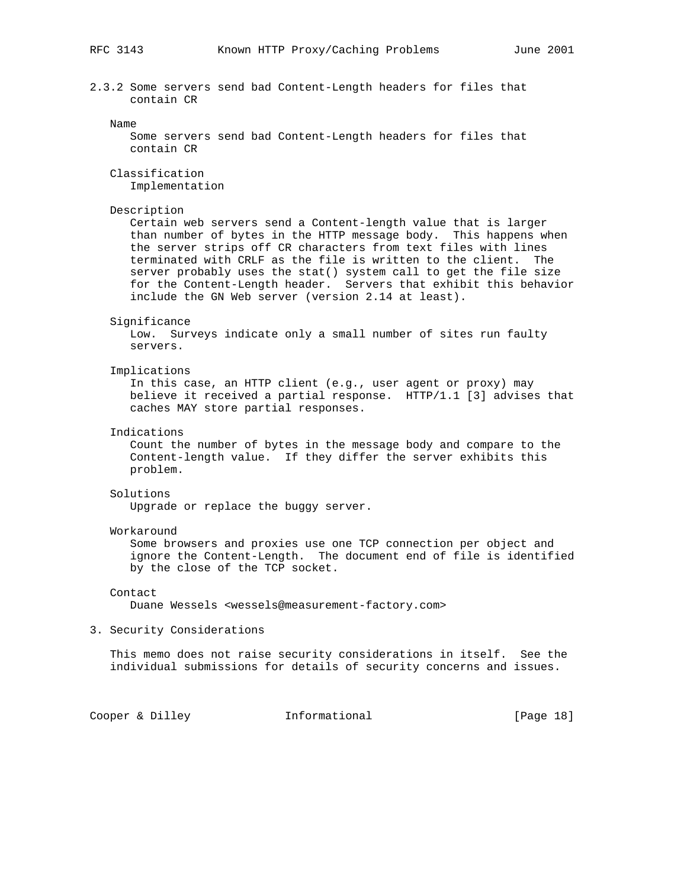2.3.2 Some servers send bad Content-Length headers for files that contain CR

#### Name

 Some servers send bad Content-Length headers for files that contain CR

 Classification Implementation

#### Description

 Certain web servers send a Content-length value that is larger than number of bytes in the HTTP message body. This happens when the server strips off CR characters from text files with lines terminated with CRLF as the file is written to the client. The server probably uses the stat() system call to get the file size for the Content-Length header. Servers that exhibit this behavior include the GN Web server (version 2.14 at least).

#### Significance

 Low. Surveys indicate only a small number of sites run faulty servers.

## Implications

 In this case, an HTTP client (e.g., user agent or proxy) may believe it received a partial response. HTTP/1.1 [3] advises that caches MAY store partial responses.

## Indications

 Count the number of bytes in the message body and compare to the Content-length value. If they differ the server exhibits this problem.

## Solutions

Upgrade or replace the buggy server.

#### Workaround

 Some browsers and proxies use one TCP connection per object and ignore the Content-Length. The document end of file is identified by the close of the TCP socket.

#### Contact

Duane Wessels <wessels@measurement-factory.com>

#### 3. Security Considerations

 This memo does not raise security considerations in itself. See the individual submissions for details of security concerns and issues.

## Cooper & Dilley **Informational** [Page 18]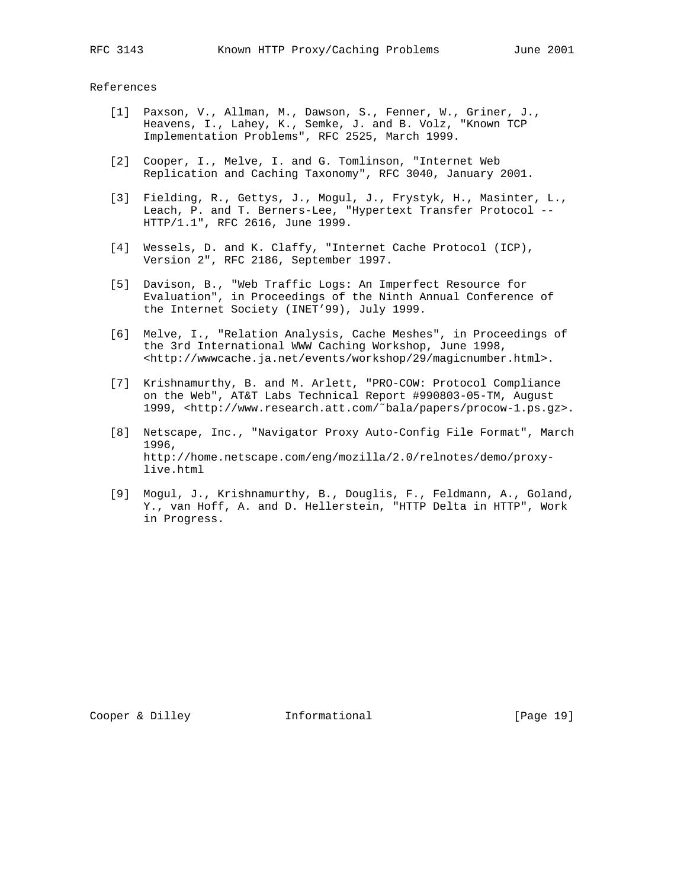References

- [1] Paxson, V., Allman, M., Dawson, S., Fenner, W., Griner, J., Heavens, I., Lahey, K., Semke, J. and B. Volz, "Known TCP Implementation Problems", RFC 2525, March 1999.
- [2] Cooper, I., Melve, I. and G. Tomlinson, "Internet Web Replication and Caching Taxonomy", RFC 3040, January 2001.
- [3] Fielding, R., Gettys, J., Mogul, J., Frystyk, H., Masinter, L., Leach, P. and T. Berners-Lee, "Hypertext Transfer Protocol -- HTTP/1.1", RFC 2616, June 1999.
- [4] Wessels, D. and K. Claffy, "Internet Cache Protocol (ICP), Version 2", RFC 2186, September 1997.
- [5] Davison, B., "Web Traffic Logs: An Imperfect Resource for Evaluation", in Proceedings of the Ninth Annual Conference of the Internet Society (INET'99), July 1999.
	- [6] Melve, I., "Relation Analysis, Cache Meshes", in Proceedings of the 3rd International WWW Caching Workshop, June 1998, <http://wwwcache.ja.net/events/workshop/29/magicnumber.html>.
	- [7] Krishnamurthy, B. and M. Arlett, "PRO-COW: Protocol Compliance on the Web", AT&T Labs Technical Report #990803-05-TM, August 1999, <http://www.research.att.com/˜bala/papers/procow-1.ps.gz>.
	- [8] Netscape, Inc., "Navigator Proxy Auto-Config File Format", March 1996, http://home.netscape.com/eng/mozilla/2.0/relnotes/demo/proxy live.html
	- [9] Mogul, J., Krishnamurthy, B., Douglis, F., Feldmann, A., Goland, Y., van Hoff, A. and D. Hellerstein, "HTTP Delta in HTTP", Work in Progress.

Cooper & Dilley **Informational** [Page 19]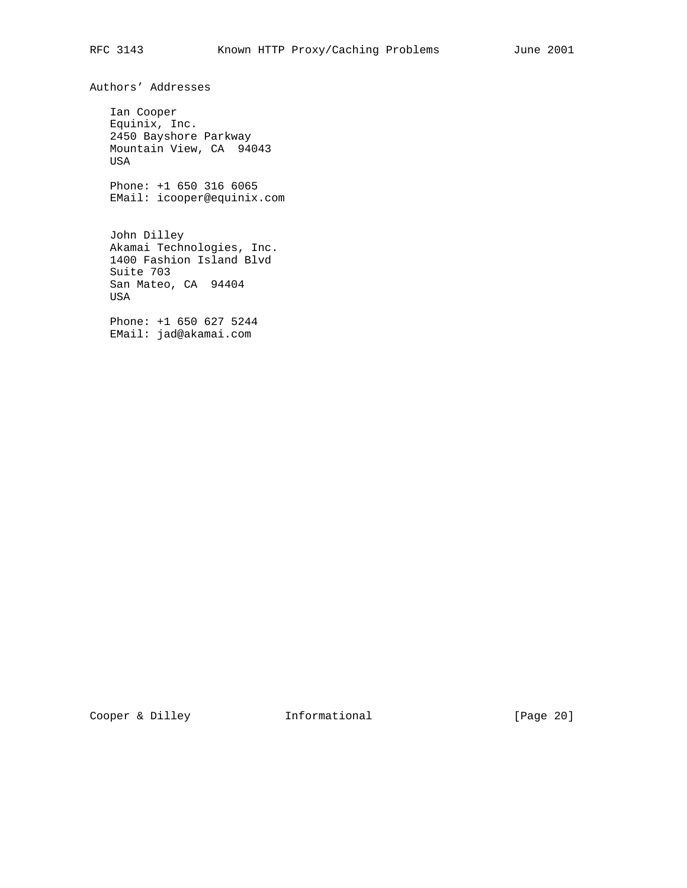Authors' Addresses

 Ian Cooper Equinix, Inc. 2450 Bayshore Parkway Mountain View, CA 94043 USA

 Phone: +1 650 316 6065 EMail: icooper@equinix.com

 John Dilley Akamai Technologies, Inc. 1400 Fashion Island Blvd Suite 703 San Mateo, CA 94404 USA

 Phone: +1 650 627 5244 EMail: jad@akamai.com

Cooper & Dilley **Informational** [Page 20]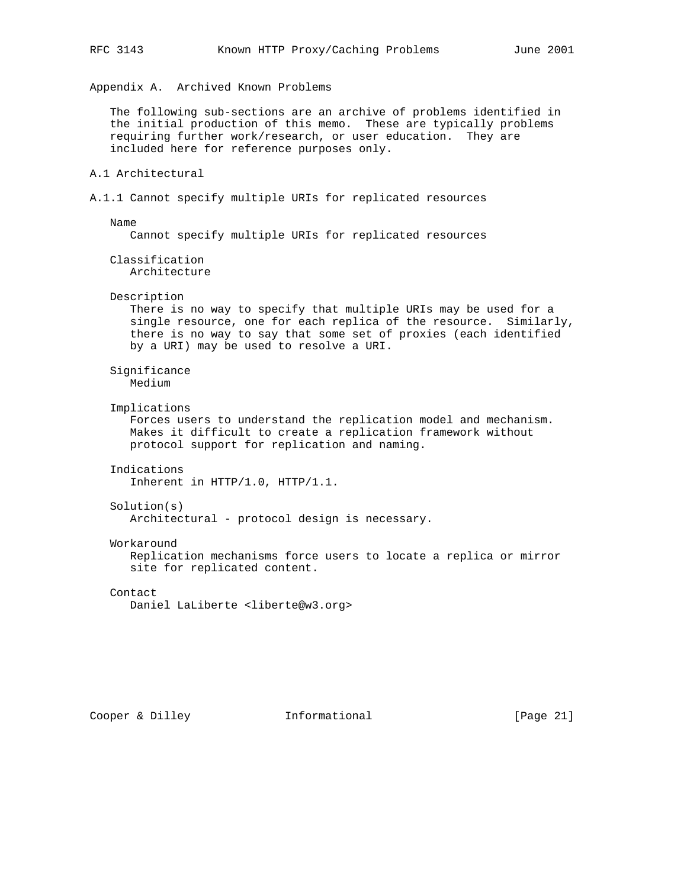Appendix A. Archived Known Problems

 The following sub-sections are an archive of problems identified in the initial production of this memo. These are typically problems requiring further work/research, or user education. They are included here for reference purposes only.

## A.1 Architectural

A.1.1 Cannot specify multiple URIs for replicated resources

Name

Cannot specify multiple URIs for replicated resources

 Classification Architecture

## Description

 There is no way to specify that multiple URIs may be used for a single resource, one for each replica of the resource. Similarly, there is no way to say that some set of proxies (each identified by a URI) may be used to resolve a URI.

 Significance Medium

Implications

 Forces users to understand the replication model and mechanism. Makes it difficult to create a replication framework without protocol support for replication and naming.

Indications

Inherent in HTTP/1.0, HTTP/1.1.

Solution(s)

Architectural - protocol design is necessary.

Workaround

 Replication mechanisms force users to locate a replica or mirror site for replicated content.

## Contact

Daniel LaLiberte <liberte@w3.org>

Cooper & Dilley **Informational** [Page 21]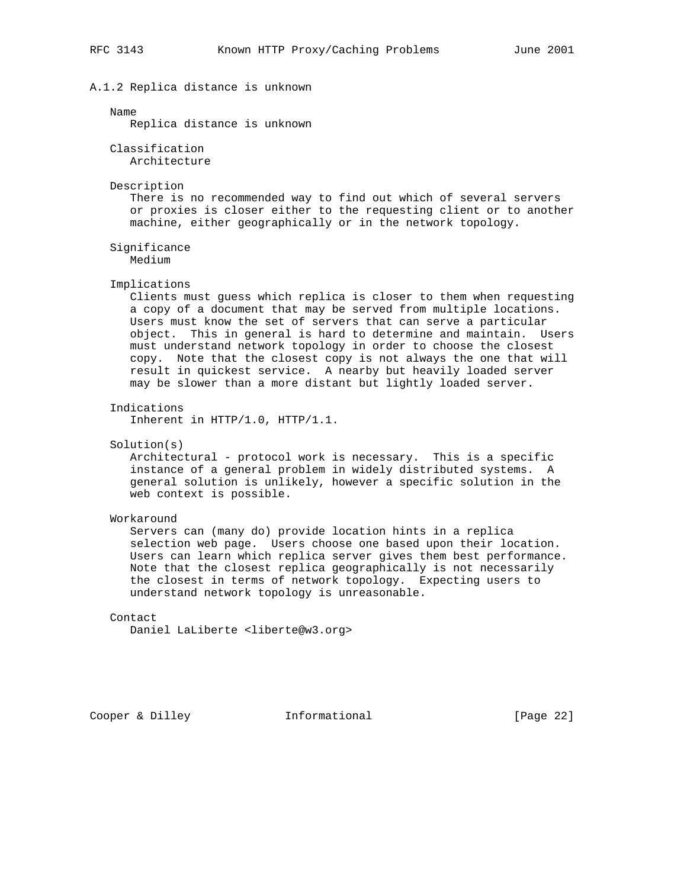## A.1.2 Replica distance is unknown

Name

Replica distance is unknown

 Classification Architecture

Description

 There is no recommended way to find out which of several servers or proxies is closer either to the requesting client or to another machine, either geographically or in the network topology.

 Significance Medium

Implications

 Clients must guess which replica is closer to them when requesting a copy of a document that may be served from multiple locations. Users must know the set of servers that can serve a particular object. This in general is hard to determine and maintain. Users must understand network topology in order to choose the closest copy. Note that the closest copy is not always the one that will result in quickest service. A nearby but heavily loaded server may be slower than a more distant but lightly loaded server.

Indications

Inherent in HTTP/1.0, HTTP/1.1.

Solution(s)

 Architectural - protocol work is necessary. This is a specific instance of a general problem in widely distributed systems. A general solution is unlikely, however a specific solution in the web context is possible.

Workaround

 Servers can (many do) provide location hints in a replica selection web page. Users choose one based upon their location. Users can learn which replica server gives them best performance. Note that the closest replica geographically is not necessarily the closest in terms of network topology. Expecting users to understand network topology is unreasonable.

Contact

Daniel LaLiberte <liberte@w3.org>

Cooper & Dilley **Informational** [Page 22]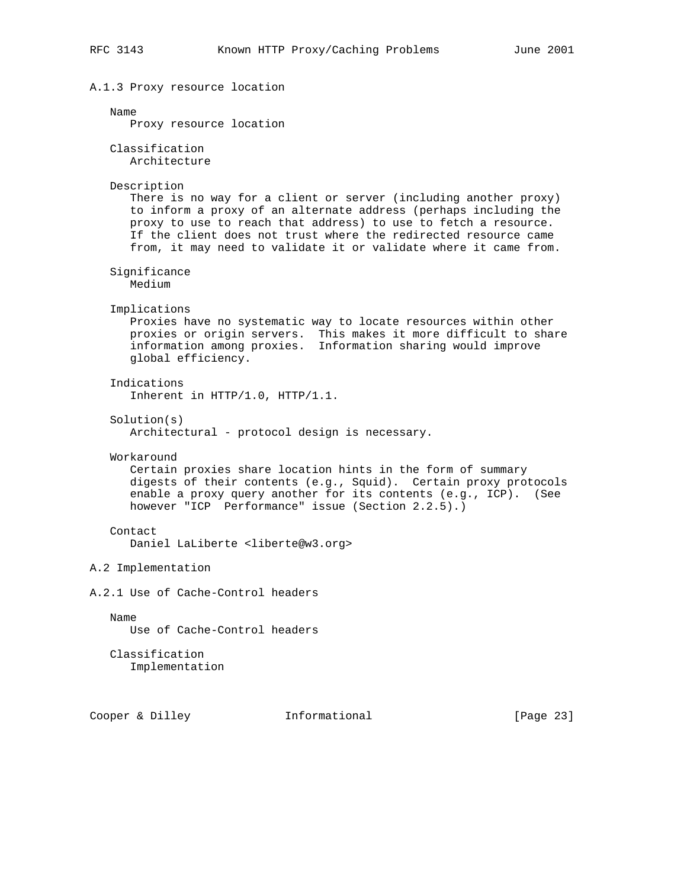```
A.1.3 Proxy resource location
   Name
      Proxy resource location
    Classification
      Architecture
    Description
       There is no way for a client or server (including another proxy)
       to inform a proxy of an alternate address (perhaps including the
       proxy to use to reach that address) to use to fetch a resource.
       If the client does not trust where the redirected resource came
       from, it may need to validate it or validate where it came from.
    Significance
      Medium
    Implications
       Proxies have no systematic way to locate resources within other
       proxies or origin servers. This makes it more difficult to share
       information among proxies. Information sharing would improve
       global efficiency.
    Indications
       Inherent in HTTP/1.0, HTTP/1.1.
    Solution(s)
       Architectural - protocol design is necessary.
    Workaround
       Certain proxies share location hints in the form of summary
       digests of their contents (e.g., Squid). Certain proxy protocols
       enable a proxy query another for its contents (e.g., ICP). (See
       however "ICP Performance" issue (Section 2.2.5).)
    Contact
       Daniel LaLiberte <liberte@w3.org>
A.2 Implementation
A.2.1 Use of Cache-Control headers
   Name
      Use of Cache-Control headers
   Classification
       Implementation
```
Cooper & Dilley **Informational** [Page 23]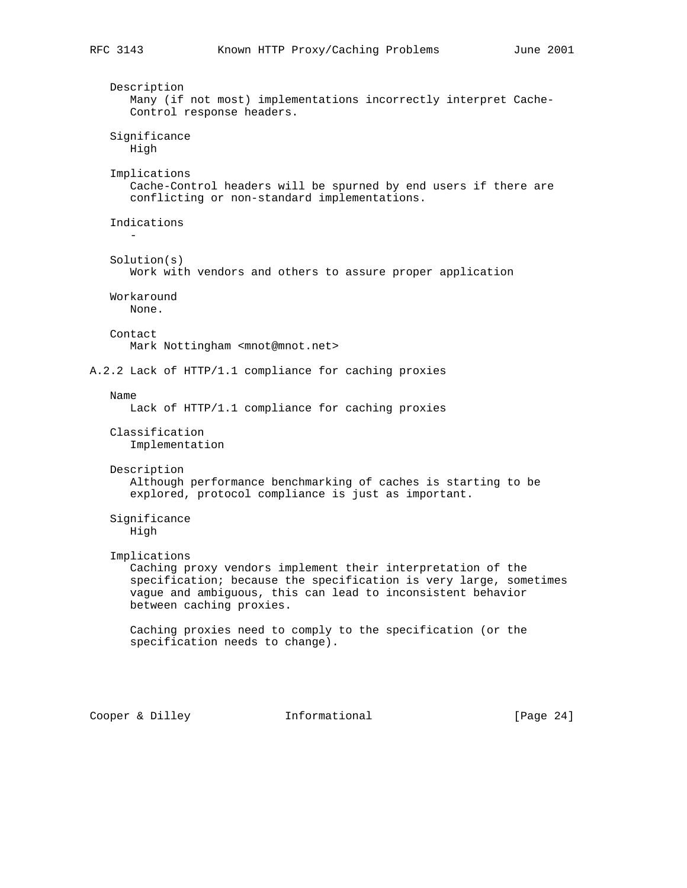```
 Description
       Many (if not most) implementations incorrectly interpret Cache-
       Control response headers.
    Significance
      High
    Implications
       Cache-Control headers will be spurned by end users if there are
       conflicting or non-standard implementations.
    Indications
 -
    Solution(s)
       Work with vendors and others to assure proper application
    Workaround
      None.
    Contact
       Mark Nottingham <mnot@mnot.net>
A.2.2 Lack of HTTP/1.1 compliance for caching proxies
    Name
      Lack of HTTP/1.1 compliance for caching proxies
    Classification
       Implementation
    Description
       Although performance benchmarking of caches is starting to be
       explored, protocol compliance is just as important.
    Significance
       High
    Implications
       Caching proxy vendors implement their interpretation of the
       specification; because the specification is very large, sometimes
       vague and ambiguous, this can lead to inconsistent behavior
       between caching proxies.
       Caching proxies need to comply to the specification (or the
       specification needs to change).
```
Cooper & Dilley **Informational** [Page 24]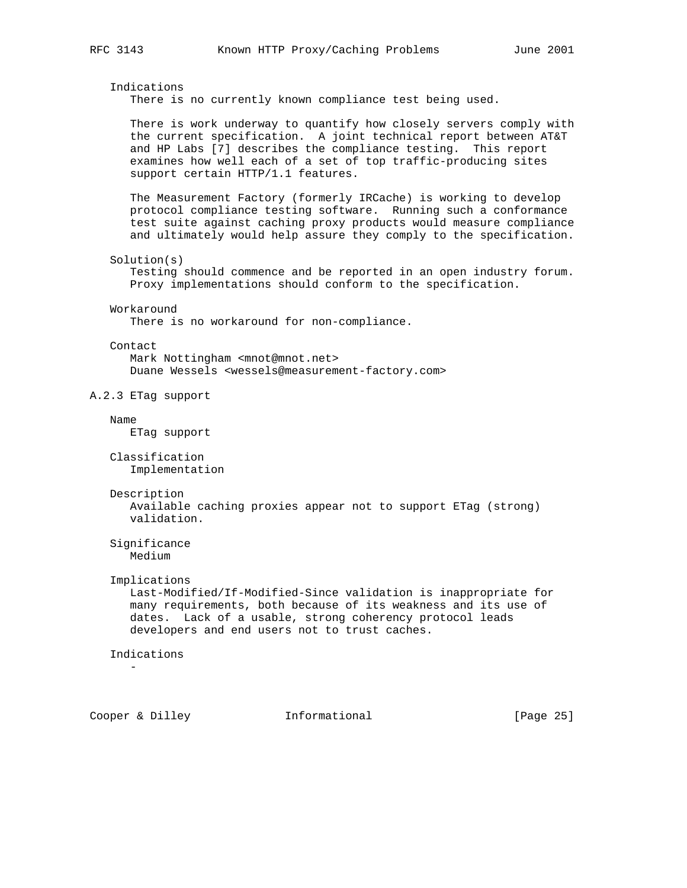## Indications

There is no currently known compliance test being used.

 There is work underway to quantify how closely servers comply with the current specification. A joint technical report between AT&T and HP Labs [7] describes the compliance testing. This report examines how well each of a set of top traffic-producing sites support certain HTTP/1.1 features.

 The Measurement Factory (formerly IRCache) is working to develop protocol compliance testing software. Running such a conformance test suite against caching proxy products would measure compliance and ultimately would help assure they comply to the specification.

#### Solution(s)

 Testing should commence and be reported in an open industry forum. Proxy implementations should conform to the specification.

#### Workaround

There is no workaround for non-compliance.

#### Contact

 Mark Nottingham <mnot@mnot.net> Duane Wessels <wessels@measurement-factory.com>

## A.2.3 ETag support

#### Name

ETag support

```
 Classification
   Implementation
```
#### Description

 Available caching proxies appear not to support ETag (strong) validation.

 Significance Medium

#### Implications

 Last-Modified/If-Modified-Since validation is inappropriate for many requirements, both because of its weakness and its use of dates. Lack of a usable, strong coherency protocol leads developers and end users not to trust caches.

## Indications

-

Cooper & Dilley **Informational** [Page 25]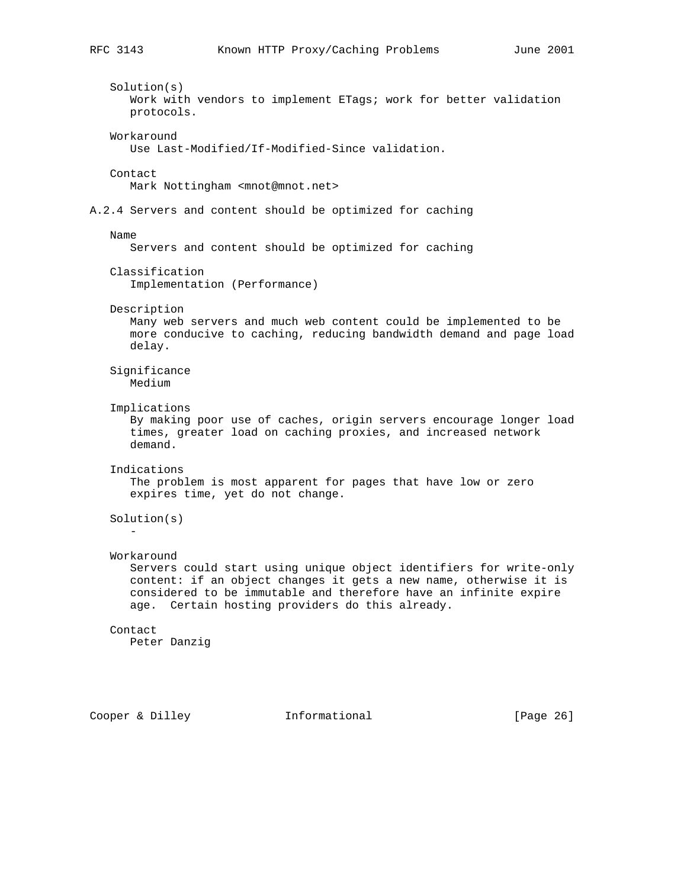Solution(s) Work with vendors to implement ETags; work for better validation protocols. Workaround Use Last-Modified/If-Modified-Since validation. Contact Mark Nottingham <mnot@mnot.net> A.2.4 Servers and content should be optimized for caching Name Servers and content should be optimized for caching Classification Implementation (Performance) Description Many web servers and much web content could be implemented to be more conducive to caching, reducing bandwidth demand and page load delay. Significance Medium Implications By making poor use of caches, origin servers encourage longer load times, greater load on caching proxies, and increased network demand. Indications The problem is most apparent for pages that have low or zero expires time, yet do not change. Solution(s) - Workaround Servers could start using unique object identifiers for write-only content: if an object changes it gets a new name, otherwise it is considered to be immutable and therefore have an infinite expire age. Certain hosting providers do this already. Contact Peter Danzig

Cooper & Dilley **Informational** [Page 26]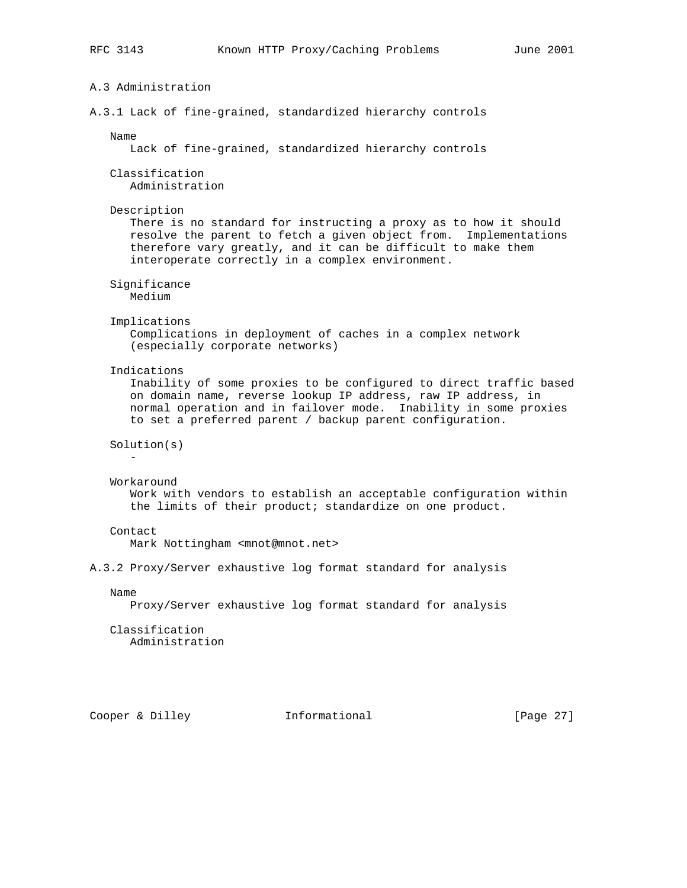```
A.3 Administration
A.3.1 Lack of fine-grained, standardized hierarchy controls
   Name
      Lack of fine-grained, standardized hierarchy controls
    Classification
      Administration
   Description
      There is no standard for instructing a proxy as to how it should
      resolve the parent to fetch a given object from. Implementations
       therefore vary greatly, and it can be difficult to make them
       interoperate correctly in a complex environment.
    Significance
      Medium
    Implications
       Complications in deployment of caches in a complex network
       (especially corporate networks)
    Indications
       Inability of some proxies to be configured to direct traffic based
       on domain name, reverse lookup IP address, raw IP address, in
       normal operation and in failover mode. Inability in some proxies
       to set a preferred parent / backup parent configuration.
    Solution(s)
 -
    Workaround
       Work with vendors to establish an acceptable configuration within
       the limits of their product; standardize on one product.
    Contact
      Mark Nottingham <mnot@mnot.net>
A.3.2 Proxy/Server exhaustive log format standard for analysis
   Name
      Proxy/Server exhaustive log format standard for analysis
    Classification
      Administration
Cooper & Dilley Informational [Page 27]
```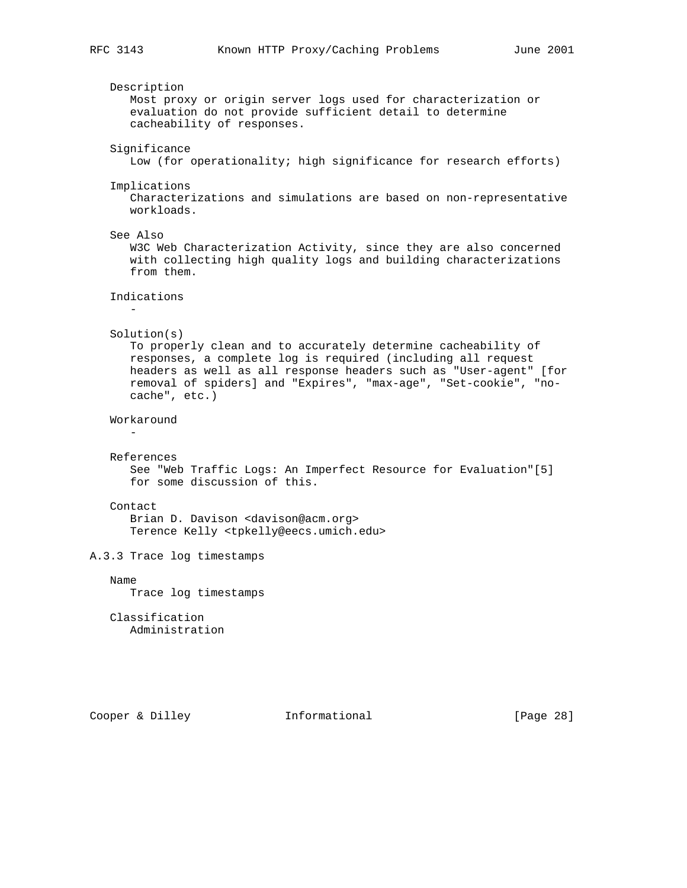```
 Description
       Most proxy or origin server logs used for characterization or
       evaluation do not provide sufficient detail to determine
       cacheability of responses.
    Significance
       Low (for operationality; high significance for research efforts)
    Implications
       Characterizations and simulations are based on non-representative
       workloads.
    See Also
      W3C Web Characterization Activity, since they are also concerned
       with collecting high quality logs and building characterizations
       from them.
    Indications
 -
    Solution(s)
       To properly clean and to accurately determine cacheability of
       responses, a complete log is required (including all request
       headers as well as all response headers such as "User-agent" [for
       removal of spiders] and "Expires", "max-age", "Set-cookie", "no-
       cache", etc.)
    Workaround
 -
   References
      See "Web Traffic Logs: An Imperfect Resource for Evaluation"[5]
       for some discussion of this.
    Contact
       Brian D. Davison <davison@acm.org>
       Terence Kelly <tpkelly@eecs.umich.edu>
A.3.3 Trace log timestamps
   Name
       Trace log timestamps
    Classification
      Administration
```
Cooper & Dilley **Informational** [Page 28]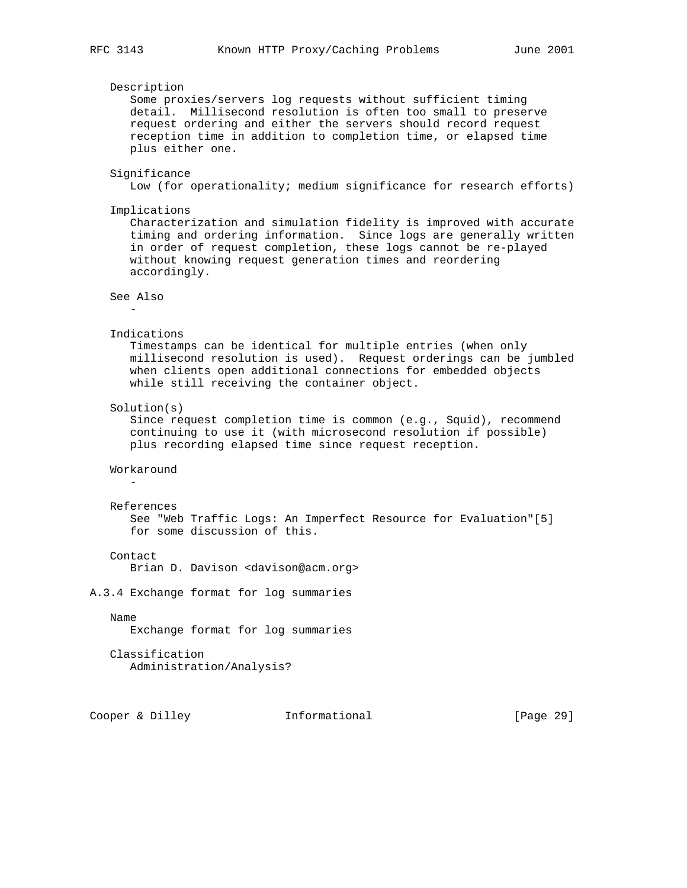```
 Description
       Some proxies/servers log requests without sufficient timing
       detail. Millisecond resolution is often too small to preserve
       request ordering and either the servers should record request
       reception time in addition to completion time, or elapsed time
       plus either one.
    Significance
       Low (for operationality; medium significance for research efforts)
    Implications
       Characterization and simulation fidelity is improved with accurate
       timing and ordering information. Since logs are generally written
       in order of request completion, these logs cannot be re-played
       without knowing request generation times and reordering
       accordingly.
    See Also
 -
    Indications
       Timestamps can be identical for multiple entries (when only
       millisecond resolution is used). Request orderings can be jumbled
       when clients open additional connections for embedded objects
       while still receiving the container object.
    Solution(s)
       Since request completion time is common (e.g., Squid), recommend
       continuing to use it (with microsecond resolution if possible)
       plus recording elapsed time since request reception.
    Workaround
 -
   References
      See "Web Traffic Logs: An Imperfect Resource for Evaluation"[5]
       for some discussion of this.
    Contact
       Brian D. Davison <davison@acm.org>
A.3.4 Exchange format for log summaries
   Name
       Exchange format for log summaries
    Classification
       Administration/Analysis?
```
Cooper & Dilley **Informational** [Page 29]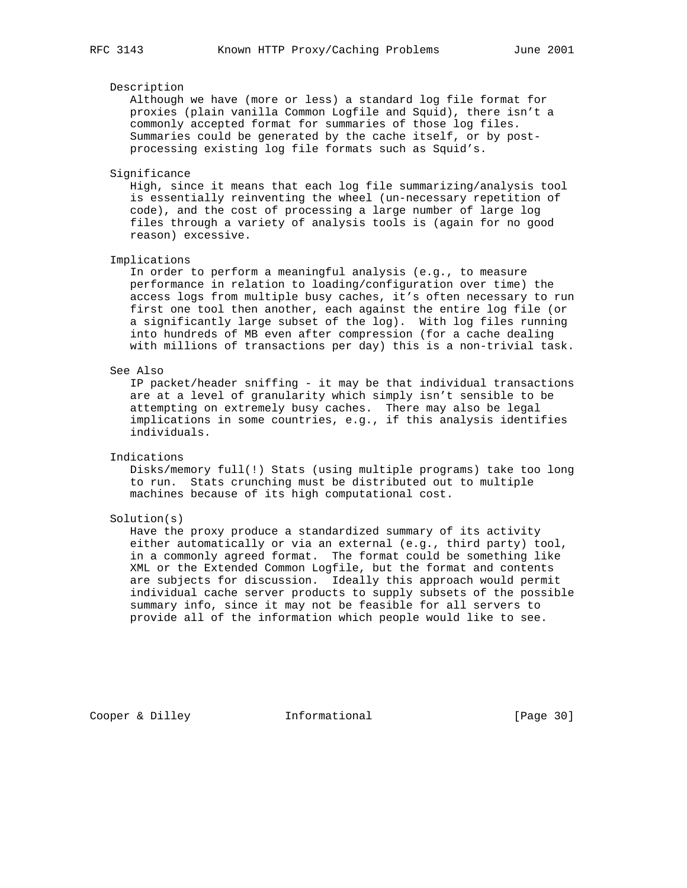## Description

 Although we have (more or less) a standard log file format for proxies (plain vanilla Common Logfile and Squid), there isn't a commonly accepted format for summaries of those log files. Summaries could be generated by the cache itself, or by post processing existing log file formats such as Squid's.

#### Significance

 High, since it means that each log file summarizing/analysis tool is essentially reinventing the wheel (un-necessary repetition of code), and the cost of processing a large number of large log files through a variety of analysis tools is (again for no good reason) excessive.

#### Implications

 In order to perform a meaningful analysis (e.g., to measure performance in relation to loading/configuration over time) the access logs from multiple busy caches, it's often necessary to run first one tool then another, each against the entire log file (or a significantly large subset of the log). With log files running into hundreds of MB even after compression (for a cache dealing with millions of transactions per day) this is a non-trivial task.

## See Also

 IP packet/header sniffing - it may be that individual transactions are at a level of granularity which simply isn't sensible to be attempting on extremely busy caches. There may also be legal implications in some countries, e.g., if this analysis identifies individuals.

## Indications

 Disks/memory full(!) Stats (using multiple programs) take too long to run. Stats crunching must be distributed out to multiple machines because of its high computational cost.

#### Solution(s)

 Have the proxy produce a standardized summary of its activity either automatically or via an external (e.g., third party) tool, in a commonly agreed format. The format could be something like XML or the Extended Common Logfile, but the format and contents are subjects for discussion. Ideally this approach would permit individual cache server products to supply subsets of the possible summary info, since it may not be feasible for all servers to provide all of the information which people would like to see.

Cooper & Dilley **Informational** [Page 30]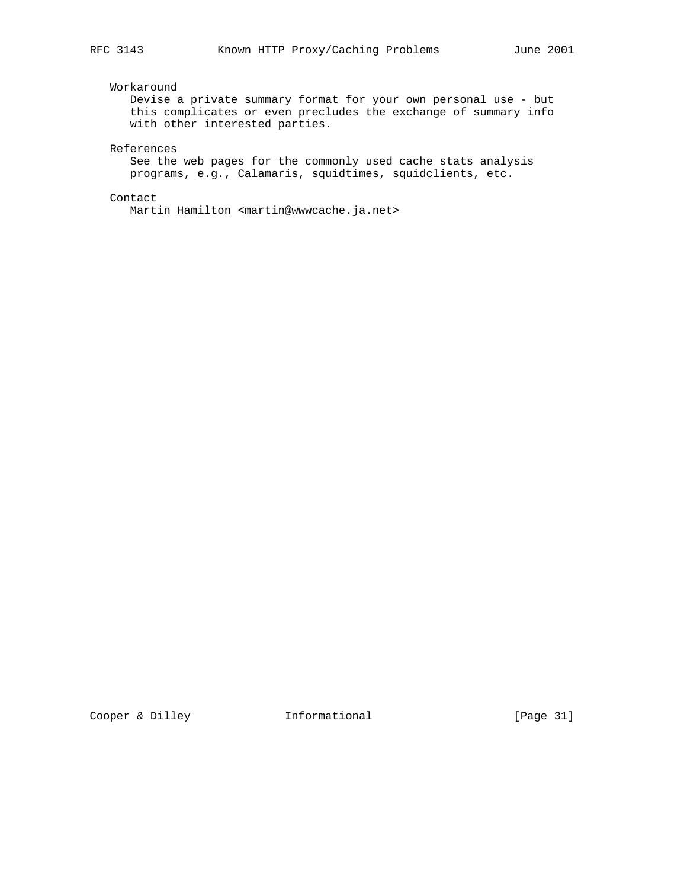## Workaround

 Devise a private summary format for your own personal use - but this complicates or even precludes the exchange of summary info with other interested parties.

References

 See the web pages for the commonly used cache stats analysis programs, e.g., Calamaris, squidtimes, squidclients, etc.

Contact

Martin Hamilton <martin@wwwcache.ja.net>

Cooper & Dilley **Informational** [Page 31]